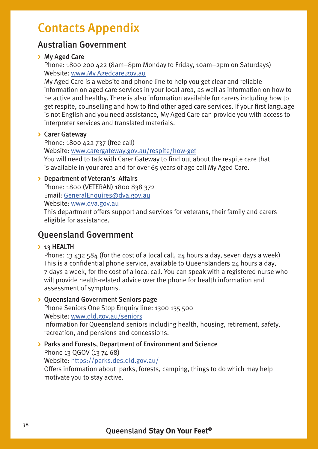# Contacts Appendix

## Australian Government

#### **>** My Aged Care

Phone: 1800 200 422 (8am–8pm Monday to Friday, 10am–2pm on Saturdays) Website: [www.My Agedcare.gov.au](http://www.myagedcare.gov.au)

My Aged Care is a website and phone line to help you get clear and reliable information on aged care services in your local area, as well as information on how to be active and healthy. There is also information available for carers including how to get respite, counselling and how to find other aged care services. If your first language is not English and you need assistance, My Aged Care can provide you with access to interpreter services and translated materials.

#### **>** Carer Gateway

Phone: 1800 422 737 (free call) Website: [www.carergateway.gov.au/respite/how-get](http://www.carergateway.gov.au/respite/how-get)

You will need to talk with Carer Gateway to find out about the respite care that is available in your area and for over 65 years of age call My Aged Care.

#### **>** Department of Veteran's Affairs

Phone: 1800 (VETERAN) 1800 838 372 Email: [GeneralEnquires@dva.gov.au](mailto:GeneralEnquires%40dva.gov.au?subject=) Website: [www.dva.gov.au](http://www.dva.gov.au)

This department offers support and services for veterans, their family and carers eligible for assistance.

# Queensland Government

#### **>** 13 HEALTH

Phone: 13 432 584 (for the cost of a local call, 24 hours a day, seven days a week) This is a confidential phone service, available to Queenslanders 24 hours a day, 7 days a week, for the cost of a local call. You can speak with a registered nurse who will provide health-related advice over the phone for health information and assessment of symptoms.

#### **>** Queensland Government Seniors page

Phone Seniors One Stop Enquiry line: 1300 135 500 Website: [www.qld.gov.au/seniors](http://www.qld.gov.au/seniors)

Information for Queensland seniors including health, housing, retirement, safety, recreation, and pensions and concessions.

#### **>** Parks and Forests, Department of Environment and Science

Phone 13 QGOV (13 74 68)

Website:<https://parks.des.qld.gov.au/>

Offers information about parks, forests, camping, things to do which may help motivate you to stay active.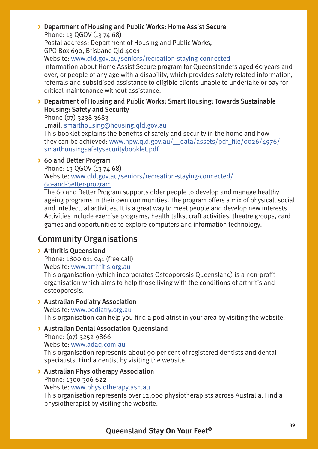#### **>** Department of Housing and Public Works: Home Assist Secure Phone: 13 QGOV (13 74 68)

Postal address: Department of Housing and Public Works, GPO Box 690, Brisbane Qld 4001

Website: [www.qld.gov.au/seniors/recreation-staying-connected](http://www.qld.gov.au/seniors/recreation-staying-connected)

Information about Home Assist Secure program for Queenslanders aged 60 years and over, or people of any age with a disability, which provides safety related information, referrals and subsidised assistance to eligible clients unable to undertake or pay for critical maintenance without assistance.

#### **>** Department of Housing and Public Works: Smart Housing: Towards Sustainable Housing: Safety and Security

Phone (07) 3238 3683

Email: [smarthousing@housing.qld.gov.au](http://smarthousing@housing.qld.gov.au)

This booklet explains the benefits of safety and security in the home and how they can be achieved: [www.hpw.qld.gov.au/\\_\\_data/assets/pdf\\_file/0026/4976/](http://www.hpw.qld.gov.au/__data/assets/pdf_file/0026/4976/smarthousingsafetysecuritybooklet.pdf) [smarthousingsafetysecuritybooklet.pdf](http://www.hpw.qld.gov.au/__data/assets/pdf_file/0026/4976/smarthousingsafetysecuritybooklet.pdf)

#### **>** 60 and Better Program

Phone: 13 QGOV (13 74 68) Website: [www.qld.gov.au/seniors/recreation-staying-connected/](http://www.qld.gov.au/seniors/recreation-staying-connected/60-and-better-program) [60-and-better-program](http://www.qld.gov.au/seniors/recreation-staying-connected/60-and-better-program)

The 60 and Better Program supports older people to develop and manage healthy ageing programs in their own communities. The program offers a mix of physical, social and intellectual activities. It is a great way to meet people and develop new interests. Activities include exercise programs, health talks, craft activities, theatre groups, card games and opportunities to explore computers and information technology.

# Community Organisations

#### **>** Arthritis Queensland

Phone: 1800 011 041 (free call) Website: [www.arthritis.org.au](http://www.arthritis.org.au)

This organisation (which incorporates Osteoporosis Queensland) is a non-profit organisation which aims to help those living with the conditions of arthritis and osteoporosis.

#### **>** Australian Podiatry Association

Website: [www.podiatry.org.au](http://www.podiatry.org.au) This organisation can help you find a podiatrist in your area by visiting the website.

#### **>** Australian Dental Association Queensland

Phone: (07) 3252 9866 Website: [www.adaq.com.au](http://www.adaq.com.au)

This organisation represents about 90 per cent of registered dentists and dental specialists. Find a dentist by visiting the website.

#### **>** Australian Physiotherapy Association

Phone: 1300 306 622

Website: [www.physiotherapy.asn.au](http://www.physiotherapy.asn.au)

This organisation represents over 12,000 physiotherapists across Australia. Find a physiotherapist by visiting the website.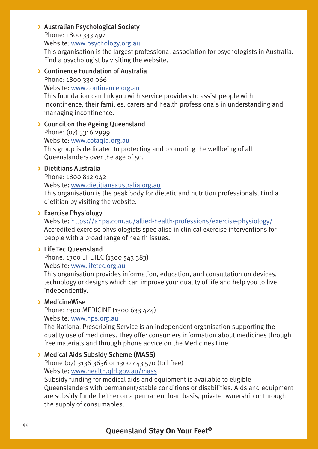#### **>** Australian Psychological Society

Phone: 1800 333 497 Website: [www.psychology.org.au](http://www.psychology.org.au)

This organisation is the largest professional association for psychologists in Australia. Find a psychologist by visiting the website.

#### **>** Continence Foundation of Australia

Phone: 1800 330 066

Website: [www.continence.org.au](http://www.continence.org.au) This foundation can link you with service providers to assist people with incontinence, their families, carers and health professionals in understanding and

managing incontinence.

#### **>** Council on the Ageing Queensland

Phone: (07) 3316 2999 Website: [www.cotaqld.org.au](http://www.cotaqld.org.au) This group is dedicated to protecting and promoting the wellbeing of all Queenslanders over the age of 50.

#### **>** Dietitians Australia

Phone: 1800 812 942 Website: [www.d](http://www.daa.asn.au)ietitiansaustralia.org.au This organisation is the peak body for dietetic and nutrition professionals. Find a dietitian by visiting the website.

#### **>** Exercise Physiology

Website:<https://ahpa.com.au/allied-health-professions/exercise-physiology/> Accredited exercise physiologists specialise in clinical exercise interventions for people with a broad range of health issues.

#### **>** Life Tec Queensland

Phone: 1300 LIFETEC (1300 543 383) Website: [www.lifetec.org.au](http://www.lifetec.org.au)

This organisation provides information, education, and consultation on devices, technology or designs which can improve your quality of life and help you to live independently.

#### **>** MedicineWise

Phone: 1300 MEDICINE (1300 633 424)

Website: [www.nps.org.au](http://www.nps.org.au)

The National Prescribing Service is an independent organisation supporting the quality use of medicines. They offer consumers information about medicines through free materials and through phone advice on the Medicines Line.

#### **>** Medical Aids Subsidy Scheme (MASS)

Phone (07) 3136 3636 or 1300 443 570 (toll free) Website: [www.health.qld.gov.au/mass](http://www.health.qld.gov.au/mass)

Subsidy funding for medical aids and equipment is available to eligible Queenslanders with permanent/stable conditions or disabilities. Aids and equipment are subsidy funded either on a permanent loan basis, private ownership or through the supply of consumables.